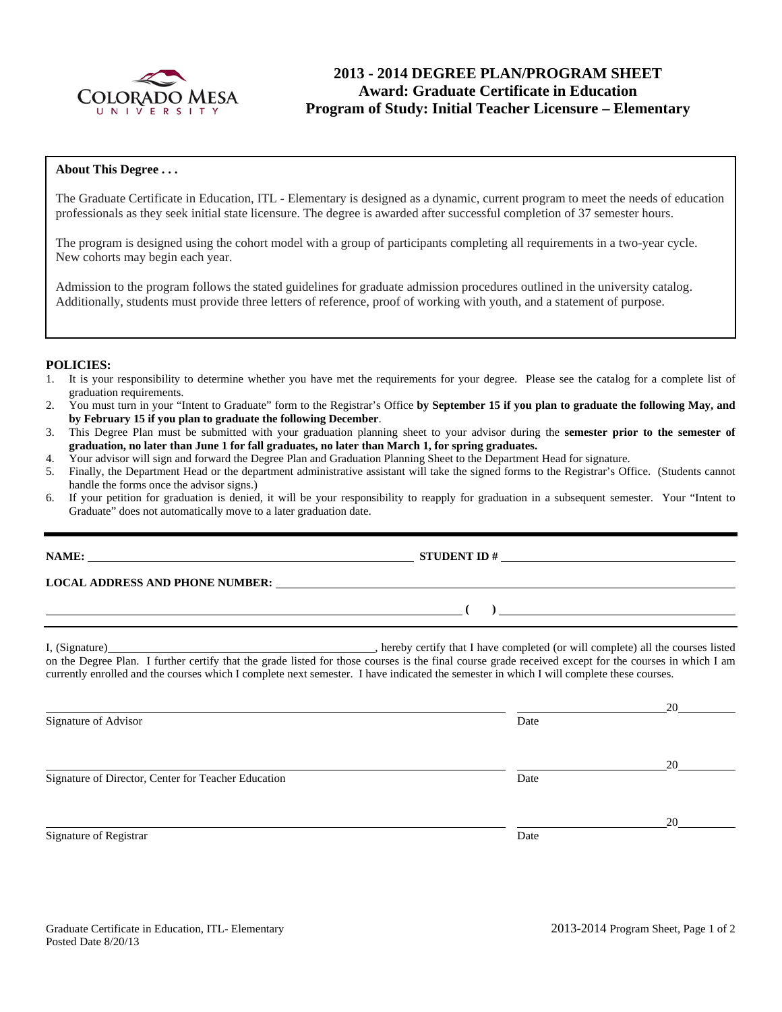

# **2013 - 2014 DEGREE PLAN/PROGRAM SHEET Award: Graduate Certificate in Education Program of Study: Initial Teacher Licensure – Elementary**

### **About This Degree . . .**

The Graduate Certificate in Education, ITL - Elementary is designed as a dynamic, current program to meet the needs of education professionals as they seek initial state licensure. The degree is awarded after successful completion of 37 semester hours.

The program is designed using the cohort model with a group of participants completing all requirements in a two-year cycle. New cohorts may begin each year.

Admission to the program follows the stated guidelines for graduate admission procedures outlined in the university catalog. Additionally, students must provide three letters of reference, proof of working with youth, and a statement of purpose.

#### **POLICIES:**

- 1. It is your responsibility to determine whether you have met the requirements for your degree. Please see the catalog for a complete list of graduation requirements.
- 2. You must turn in your "Intent to Graduate" form to the Registrar's Office **by September 15 if you plan to graduate the following May, and by February 15 if you plan to graduate the following December**.
- 3. This Degree Plan must be submitted with your graduation planning sheet to your advisor during the **semester prior to the semester of graduation, no later than June 1 for fall graduates, no later than March 1, for spring graduates.**
- 4. Your advisor will sign and forward the Degree Plan and Graduation Planning Sheet to the Department Head for signature.
- 5. Finally, the Department Head or the department administrative assistant will take the signed forms to the Registrar's Office. (Students cannot handle the forms once the advisor signs.)
- 6. If your petition for graduation is denied, it will be your responsibility to reapply for graduation in a subsequent semester. Your "Intent to Graduate" does not automatically move to a later graduation date.

**LOCAL ADDRESS AND PHONE NUMBER:**

I, (Signature) **Solution** , hereby certify that I have completed (or will complete) all the courses listed on the Degree Plan. I further certify that the grade listed for those courses is the final course grade received except for the courses in which I am currently enrolled and the courses which I complete next semester. I have indicated the semester in which I will complete these courses.

Signature of Advisor Date

Signature of Director, Center for Teacher Education Date

Signature of Registrar Date and Separature of Registrar Date



<u>20</u>

<u>20</u>

<u>20</u>

**NAME: STUDENT ID #** 

 $( )$